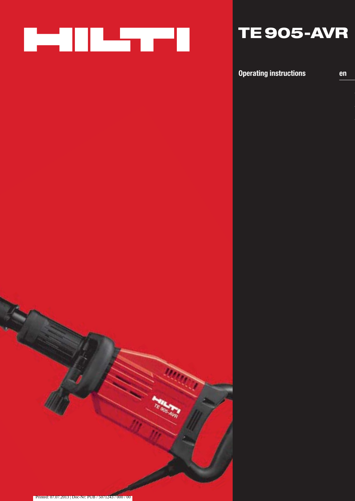

# **TE 905-AVR**

**Operating instructions en**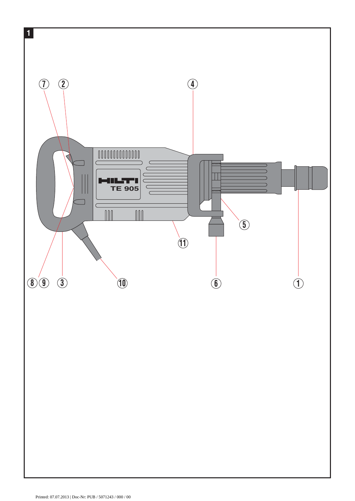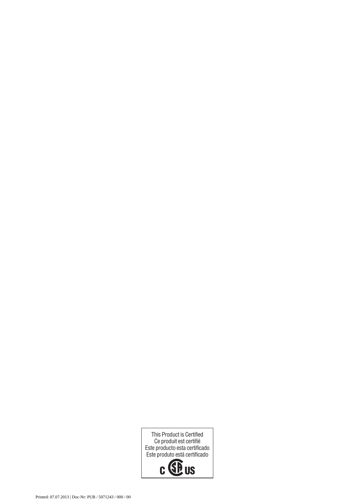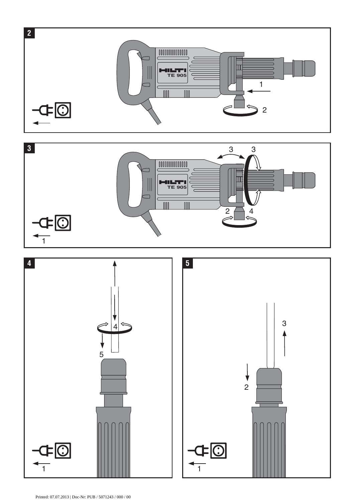



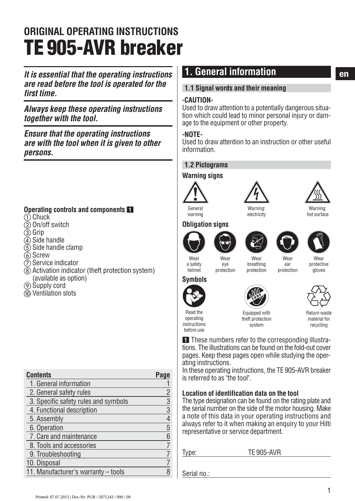# **ORIGINAL OPERATING INSTRUCTIONS TE 905-AVR breaker**

*It is essential that the operating instructions* **end**. General information *are read before the tool is operated for the first time.*

*Always keep these operating instructions together with the tool.*

*Ensure that the operating instructions are with the tool when it is given to other persons.*

### **Operating controls and components** -

- $\mathop{\oplus}$  Chuck
- $\overline{2}$  On/off switch
- $\overline{3}$  Grip
- $\widetilde{4}$ ) Side handle
- $(5)$  Side handle clamp
- $\overline{6}$  Screw
- $(7)$  Service indicator
- Activation indicator (theft protection system) (available as option)
- Supply cord
- Ventilation slots

| <b>Contents</b>                      |   |
|--------------------------------------|---|
| 1. General information               |   |
| 2. General safety rules              | 2 |
| 3. Specific safety rules and symbols | 3 |
| 4. Functional description            | 3 |
| 5. Assembly                          | 4 |
| 6. Operation                         | 5 |
| 7. Care and maintenance              | 6 |
| 8. Tools and accessories             |   |
| 9. Troubleshooting                   |   |
| 10. Disposal                         |   |
| 11. Manufacturer's warranty - tools  |   |

### **1. General information**

### **1.1 Signal words and their meaning**

### **-CAUTION-**

Used to draw attention to a potentially dangerous situation which could lead to minor personal injury or damage to the equipment or other property.

### **-NOTE-**

Used to draw attention to an instruction or other useful information.

### **1.2 Pictograms**

### **Warning signs**



warning



electricity



Warning: hot surface

### **Obligation signs**









**Wear** ear protection



Wear  $P$ protection

**Wear** breathing protection

**Wear** protective gloves

#### a safety helmet **Symbols**



operating instructions before use





Equipped with theft protection system

Return waste material for recycling

**1** These numbers refer to the corresponding illustrations. The illustrations can be found on the fold-out cover pages. Keep these pages open while studying the operating instructions.

In these operating instructions, the TE 905-AVR breaker is referred to as "the tool".

### **Location of identification data on the tool**

The type designation can be found on the rating plate and the serial number on the side of the motor housing. Make a note of this data in your operating instructions and always refer to it when making an enquiry to your Hilti representative or service department.

Type: TE 905-AVR

Serial no.: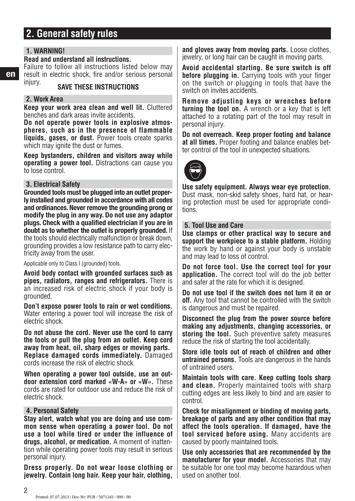### **2. General safety rules**

### **1. WARNING!**

### **Read and understand all instructions.**

Failure to follow all instructions listed below may result in electric shock, fire and/or serious personal<br>injury.<br>**CALLE TURE UREFUCTIONS** 

### **SAVE THESE INSTRUCTIONS**

### **2. Work Area**

**Keep your work area clean and well lit.** Cluttered benches and dark areas invite accidents.

**Do not operate power tools in explosive atmospheres, such as in the presence of flammable liquids, gases, or dust.** Power tools create sparks which may jonite the dust or fumes.

**Keep bystanders, children and visitors away while operating a power tool.** Distractions can cause you to lose control.

#### **3. Electrical Safety**

**Grounded tools must be plugged into an outlet properly installed and grounded in accordance with all codes and ordinances. Never remove the grounding prong or modify the plug in any way. Do not use any adaptor plugs. Check with a qualified electrician if you are in doubt as to whether the outlet is properly grounded.** If the tools should electrically malfunction or break down, grounding provides a low resistance path to carry electricity away from the user.

Applicable only to Class I (grounded) tools.

**Avoid body contact with grounded surfaces such as pipes, radiators, ranges and refrigerators.** There is an increased risk of electric shock if your body is grounded.

**Don't expose power tools to rain or wet conditions.** Water entering a power tool will increase the risk of electric shock.

**Do not abuse the cord. Never use the cord to carry the tools or pull the plug from an outlet. Keep cord away from heat, oil, sharp edges or moving parts. Replace damaged cords immediately.** Damaged cords increase the risk of electric shock.

**When operating a power tool outside, use an outdoor extension cord marked «W-A» or «W».** These cords are rated for outdoor use and reduce the risk of electric shock.

#### **4. Personal Safety**

**Stay alert, watch what you are doing and use common sense when operating a power tool. Do not use a tool while tired or under the influence of drugs, alcohol, or medication.** A moment of inattention while operating power tools may result in serious personal injury.

**Dress properly. Do not wear loose clothing or jewelry. Contain long hair. Keep your hair, clothing,** **and gloves away from moving parts.** Loose clothes, jewelry, or long hair can be caught in moving parts.

**Avoid accidental starting. Be sure switch is off before plugging in.** Carrying tools with your finger on the switch or plugging in tools that have the switch on invites accidents.

**Remove adjusting keys or wrenches before turning the tool on.** A wrench or a key that is left attached to a rotating part of the tool may result in personal injury.

**Do not overreach. Keep proper footing and balance at all times.** Proper footing and balance enables better control of the tool in unexpected situations.



**Use safety equipment. Always wear eye protection.** Dust mask, non-skid safety shoes, hard hat, or hearing protection must be used for appropriate conditions.

#### **5. Tool Use and Care**

**Use clamps or other practical way to secure and support the workpiece to a stable platform.** Holding the work by hand or against your body is unstable and may lead to loss of control.

**Do not force tool. Use the correct tool for your application.** The correct tool will do the job better and safer at the rate for which it is designed.

**Do not use tool if the switch does not turn it on or off.** Any tool that cannot be controlled with the switch is dangerous and must be repaired.

**Disconnect the plug from the power source before making any adjustments, changing accessories, or storing the tool.** Such preventive safety measures reduce the risk of starting the tool accidentally.

**Store idle tools out of reach of children and other untrained persons.** Tools are dangerous in the hands of untrained users.

**Maintain tools with care. Keep cutting tools sharp and clean.** Properly maintained tools with sharp cutting edges are less likely to bind and are easier to control.

**Check for misalignment or binding of moving parts, breakage of parts and any other condition that may affect the tools operation. If damaged, have the tool serviced before using.** Many accidents are caused by poorly maintained tools.

**Use only accessories that are recommended by the manufacturer for your model.** Accessories that may be suitable for one tool may become hazardous when used on another tool.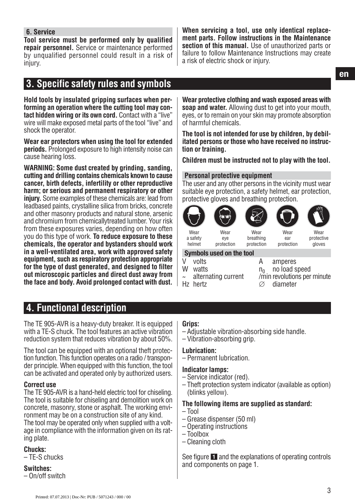### **6. Service**

**Tool service must be performed only by qualified repair personnel.** Service or maintenance performed by unqualified personnel could result in a risk of injury.

**When servicing a tool, use only identical replacement parts. Follow instructions in the Maintenance section of this manual.** Use of unauthorized parts or failure to follow Maintenance Instructions may create a risk of electric shock or injury.

## **3. Specific safety rules and symbols**

**Hold tools by insulated gripping surfaces when performing an operation where the cutting tool may contact hidden wiring or its own cord.** Contact with a "live" wire will make exposed metal parts of the tool "live" and shock the operator.

**Wear ear protectors when using the tool for extended periods.** Prolonged exposure to high intensity noise can cause hearing loss.

**WARNING: Some dust created by grinding, sanding, cutting and drilling contains chemicals known to cause cancer, birth defects, infertility or other reproductive harm; or serious and permanent respiratory or other injury.** Some examples of these chemicals are: lead from leadbased paints, crystalline silica from bricks, concrete and other masonry products and natural stone, arsenic and chromium from chemicallytreated lumber. Your risk from these exposures varies, depending on how often you do this type of work. **To reduce exposure to these chemicals, the operator and bystanders should work in a well-ventilated area, work with approved safety equipment, such as respiratory protection appropriate for the type of dust generated, and designed to filter out microscopic particles and direct dust away from the face and body. Avoid prolonged contact with dust.**

**Wear protective clothing and wash exposed areas with soap and water.** Allowing dust to get into your mouth, eyes, or to remain on your skin may promote absorption of harmful chemicals.

**The tool is not intended for use by children, by debilitated persons or those who have received no instruction or training.**

**Children must be instructed not to play with the tool.**

### **Personal protective equipment**

The user and any other persons in the vicinity must wear suitable eye protection, a safety helmet, ear protection, protective gloves and breathing protection.



a safety helmet Wear

eye protection

**Wear** breathing protection protection

**Wear** protective gloves

### **Symbols used on the tool**

- 
- Hz hertz  $\oslash$ 
	-
- V volts<br>
W watts<br>
W watts<br>
W watts<br>
W watts watts  $n_0$  no load speed<br>alternating current /min revolutions per  $\frac{m}{\varnothing}$  diameter<br> $\varnothing$  diameter

**Wear** ear

### **4. Functional description**

The TE 905-AVR is a heavy-duty breaker. It is equipped with a TE-S chuck. The tool features an active vibration reduction system that reduces vibration by about 50%.

The tool can be equipped with an optional theft protection function. This function operates on a radio / transponder principle. When equipped with this function, the tool can be activated and operated only by authorized users.

#### **Correct use**

The TE 905-AVR is a hand-held electric tool for chiseling. The tool is suitable for chiseling and demolition work on concrete, masonry, stone or asphalt. The working environment may be on a construction site of any kind. The tool may be operated only when supplied with a voltage in compliance with the information given on its rating plate.

#### **Chucks:**

– TE-S chucks

### **Switches:**

– On/off switch

### **Grips:**

- Adjustable vibration-absorbing side handle.
- Vibration-absorbing grip.

#### **Lubrication:**

– Permanent lubrication.

#### **Indicator lamps:**

- Service indicator (red).
- Theft protection system indicator (available as option) (blinks yellow).

#### **The following items are supplied as standard:**

- Tool
- Grease dispenser (50 ml)
- Operating instructions
- Toolbox
- Cleaning cloth

See figure 1 and the explanations of operating controls and components on page 1.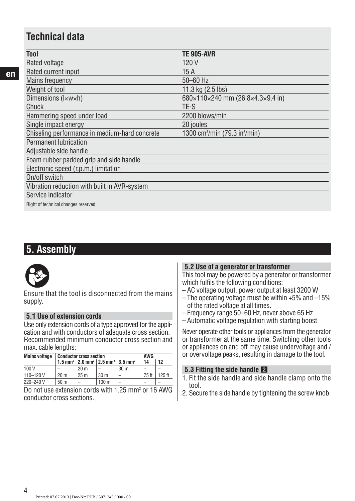### **Technical data**

| Tool                                          | TE 905-AVR                                            |
|-----------------------------------------------|-------------------------------------------------------|
| Rated voltage                                 | 120 V                                                 |
| Rated current input                           | 15 A                                                  |
| <b>Mains frequency</b>                        | 50-60 Hz                                              |
| Weight of tool                                | 11.3 kg (2.5 lbs)                                     |
| Dimensions (lxwxh)                            | $680\times110\times240$ mm (26.8×4.3×9.4 in)          |
| Chuck                                         | TE-S                                                  |
| Hammering speed under load                    | 2200 blows/min                                        |
| Single impact energy                          | 20 joules                                             |
| Chiseling performance in medium-hard concrete | 1300 cm <sup>3</sup> /min (79.3 in <sup>3</sup> /min) |
| <b>Permanent Iubrication</b>                  |                                                       |
| Adjustable side handle                        |                                                       |
| Foam rubber padded grip and side handle       |                                                       |
| Electronic speed (r.p.m.) limitation          |                                                       |
| On/off switch                                 |                                                       |
| Vibration reduction with built in AVR-system  |                                                       |
| Service indicator                             |                                                       |
| Right of technical changes reserved           |                                                       |

### **5. Assembly**



Ensure that the tool is disconnected from the mains supply.

### **5.1 Use of extension cords**

Use only extension cords of a type approved for the application and with conductors of adequate cross section. Recommended minimum conductor cross section and max. cable lengths:

| <b>Mains voltage</b> | <b>Conductor cross section</b> |                 |                                                                                       |                 | <b>AWG</b> |          |
|----------------------|--------------------------------|-----------------|---------------------------------------------------------------------------------------|-----------------|------------|----------|
|                      |                                |                 | 1.5 mm <sup>2</sup>   2.0 mm <sup>2</sup>   2.5 mm <sup>2</sup>   3.5 mm <sup>2</sup> |                 | 14         | 12       |
| 100 V                |                                | 20 <sub>m</sub> |                                                                                       | 30 <sub>m</sub> | -          |          |
| $110 - 120V$         | 20 <sub>m</sub>                | 25 <sub>m</sub> | 30 <sub>m</sub>                                                                       |                 | 75 ft      | $125$ ft |
| 220-240 V            | 50 <sub>m</sub>                | -               | 100 <sub>m</sub>                                                                      |                 |            |          |
|                      |                                |                 |                                                                                       |                 |            |          |

Do not use extension cords with 1.25 mm<sup>2</sup> or 16 AWG conductor cross sections.

### **5.2 Use of a generator or transformer**

This tool may be powered by a generator or transformer which fulfils the following conditions:

- AC voltage output, power output at least 3200 W
- The operating voltage must be within +5% and –15% of the rated voltage at all times.
- Frequency range 50–60 Hz, never above 65 Hz
- Automatic voltage regulation with starting boost

Never operate other tools or appliances from the generator or transformer at the same time. Switching other tools or appliances on and off may cause undervoltage and / or overvoltage peaks, resulting in damage to the tool.

### **5.3 Fitting the side handle**

- 1. Fit the side handle and side handle clamp onto the tool.
- 2. Secure the side handle by tightening the screw knob.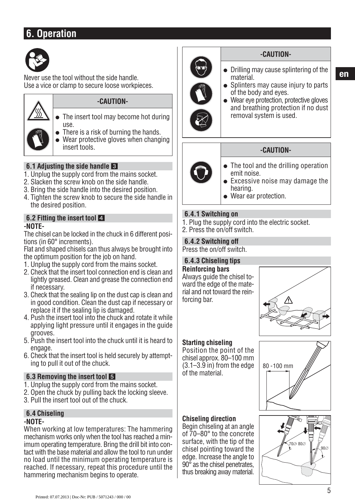### **6. Operation**



Never use the tool without the side handle. Use a vice or clamp to secure loose workpieces.



### **-CAUTION-**

- The insert tool may become hot during use.
- There is a risk of burning the hands.
- Wear protective gloves when changing insert tools.

### **6.1 Adjusting the side handle**

- 1. Unplug the supply cord from the mains socket.
- 2. Slacken the screw knob on the side handle.
- 3. Bring the side handle into the desired position.
- 4. Tighten the screw knob to secure the side handle in the desired position.

### **6.2 Fitting the insert tool -NOTE-**

The chisel can be locked in the chuck in 6 different positions (in 60° increments).

Flat and shaped chisels can thus always be brought into the optimum position for the job on hand.

- 1. Unplug the supply cord from the mains socket.
- 2. Check that the insert tool connection end is clean and lightly greased. Clean and grease the connection end if necessary.
- 3. Check that the sealing lip on the dust cap is clean and in good condition. Clean the dust cap if necessary or replace it if the sealing lip is damaged.
- 4. Push the insert tool into the chuck and rotate it while applying light pressure until it engages in the guide grooves.
- 5. Push the insert tool into the chuck until it is heard to engage.
- 6. Check that the insert tool is held securely by attempting to pull it out of the chuck.

### **6.3 Removing the insert tool**

- 1. Unplug the supply cord from the mains socket.
- 2. Open the chuck by pulling back the locking sleeve.
- 3. Pull the insert tool out of the chuck.

#### **6.4 Chiseling -NOTE-**

When working at low temperatures: The hammering mechanism works only when the tool has reached a minimum operating temperature. Bring the drill bit into contact with the base material and allow the tool to run under no load until the minimum operating temperature is reached. If necessary, repeat this procedure until the hammering mechanism begins to operate.



### **-CAUTION-**

- Drilling may cause splintering of the material.
- Splinters may cause injury to parts of the body and eyes.
- Wear eye protection, protective gloves and breathing protection if no dust removal system is used.

### **-CAUTION-**

- The tool and the drilling operation emit noise.
- Excessive noise may damage the hearing.
- Wear ear protection.

### **6.4.1 Switching on**

- 1. Plug the supply cord into the electric socket.
- 2. Press the on/off switch.

### **6.4.2 Switching off**

Press the on/off switch.

### **6.4.3 Chiseling tips**

**Reinforcing bars** Always guide the chisel toward the edge of the material and not toward the reinforcing bar.



### **Starting chiseling**

Position the point of the chisel approx. 80–100 mm  $(3.1-3.9)$  in) from the edge of the material.

### **Chiseling direction**

Begin chiseling at an angle of 70–80° to the concrete surface, with the tip of the chisel pointing toward the edge. Increase the angle to 90<sup> $\overline{\circ}$ </sup> as the chisel penetrates. thus breaking away material.



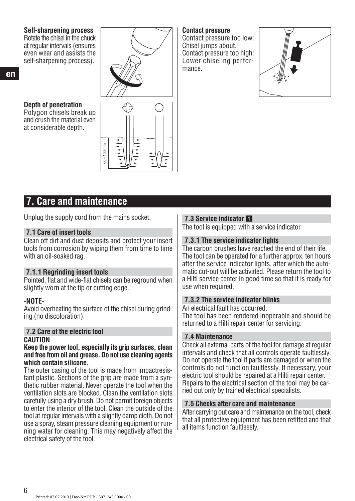### **Self-sharpening process**

Rotate the chisel in the chuck at regular intervals (ensures even wear and assists the self-sharpening process).

#### **Depth of penetration** Polygon chisels break up

and crush the material even at considerable depth.



#### **Contact pressure**

Contact pressure too low: Chisel jumps about. Contact pressure too high: Lower chiseling performance.



### **7. Care and maintenance**

Unplug the supply cord from the mains socket.

### **7.1 Care of insert tools**

Clean off dirt and dust deposits and protect your insert tools from corrosion by wiping them from time to time with an oil-soaked rag.

### **7.1.1 Regrinding insert tools**

Pointed, flat and wide-flat chisels can be reground when slightly worn at the tip or cutting edge.

### **-NOTE-**

Avoid overheating the surface of the chisel during grinding (no discoloration).

### **7.2 Care of the electric tool CAUTION**

#### **Keep the power tool, especially its grip surfaces, clean and free from oil and grease. Do not use cleaning agents which contain silicone.**

The outer casing of the tool is made from impactresistant plastic. Sections of the grip are made from a synthetic rubber material. Never operate the tool when the ventilation slots are blocked. Clean the ventilation slots carefully using a dry brush. Do not permit foreign objects to enter the interior of the tool. Clean the outside of the tool at regular intervals with a slightly damp cloth. Do not use a spray, steam pressure cleaning equipment or running water for cleaning. This may negatively affect the electrical safety of the tool.

### **7.3 Service indicator**

The tool is equipped with a service indicator.

### **7.3.1 The service indicator lights**

The carbon brushes have reached the end of their life. The tool can be operated for a further approx. ten hours after the service indicator lights, after which the automatic cut-out will be activated. Please return the tool to a Hilti service center in good time so that it is ready for use when required.

### **7.3.2 The service indicator blinks**

An electrical fault has occurred.

The tool has been rendered inoperable and should be returned to a Hilti repair center for servicing.

### **7.4 Maintenance**

Check all external parts of the tool for damage at regular intervals and check that all controls operate faultlessly. Do not operate the tool if parts are damaged or when the controls do not function faultlessly. If necessary, your electric tool should be repaired at a Hilti repair center. Repairs to the electrical section of the tool may be carried out only by trained electrical specialists.

### **7.5 Checks after care and maintenance**

After carrying out care and maintenance on the tool, check that all protective equipment has been refitted and that all items function faultlessly.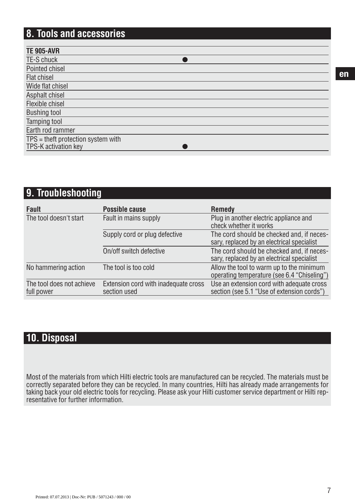## **8. Tools and accessories**

| <b>TE 905-AVR</b>                  |
|------------------------------------|
| TE-S chuck                         |
| Pointed chisel                     |
| Flat chisel                        |
| Wide flat chisel                   |
| Asphalt chisel                     |
| Flexible chisel                    |
| <b>Bushing tool</b>                |
| Tamping tool                       |
| Earth rod rammer                   |
| TPS = theft protection system with |
| TPS-K activation key               |

### **9. Troubleshooting**

| <b>Fault</b>                            | Possible cause                                       | <b>Remedy</b>                                                                           |
|-----------------------------------------|------------------------------------------------------|-----------------------------------------------------------------------------------------|
| The tool doesn't start                  | Fault in mains supply                                | Plug in another electric appliance and<br>check whether it works                        |
|                                         | Supply cord or plug defective                        | The cord should be checked and, if neces-<br>sary, replaced by an electrical specialist |
|                                         | On/off switch defective                              | The cord should be checked and, if neces-<br>sary, replaced by an electrical specialist |
| No hammering action                     | The tool is too cold                                 | Allow the tool to warm up to the minimum<br>operating temperature (see 6.4 "Chiseling") |
| The tool does not achieve<br>full power | Extension cord with inadequate cross<br>section used | Use an extension cord with adequate cross<br>section (see 5.1 "Use of extension cords") |

### **10. Disposal**

Most of the materials from which Hilti electric tools are manufactured can be recycled. The materials must be correctly separated before they can be recycled. In many countries, Hilti has already made arrangements for taking back your old electric tools for recycling. Please ask your Hilti customer service department or Hilti representative for further information.

**en**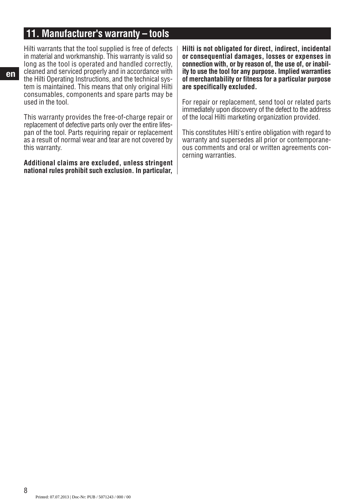### **11. Manufacturer's warranty – tools**

Hilti warrants that the tool supplied is free of defects in material and workmanship. This warranty is valid so long as the tool is operated and handled correctly, cleaned and serviced properly and in accordance with the Hilti Operating Instructions, and the technical system is maintained. This means that only original Hilti consumables, components and spare parts may be used in the tool.

This warranty provides the free-of-charge repair or replacement of defective parts only over the entire lifespan of the tool. Parts requiring repair or replacement as a result of normal wear and tear are not covered by this warranty.

**Additional claims are excluded, unless stringent national rules prohibit such exclusion. In particular,**

**Hilti is not obligated for direct, indirect, incidental or consequential damages, losses or expenses in connection with, or by reason of, the use of, or inability to use the tool for any purpose. Implied warranties of merchantability or fitness for a particular purpose are specifically excluded.**

For repair or replacement, send tool or related parts immediately upon discovery of the defect to the address of the local Hilti marketing organization provided.

This constitutes Hilti's entire obligation with regard to warranty and supersedes all prior or contemporaneous comments and oral or written agreements concerning warranties.